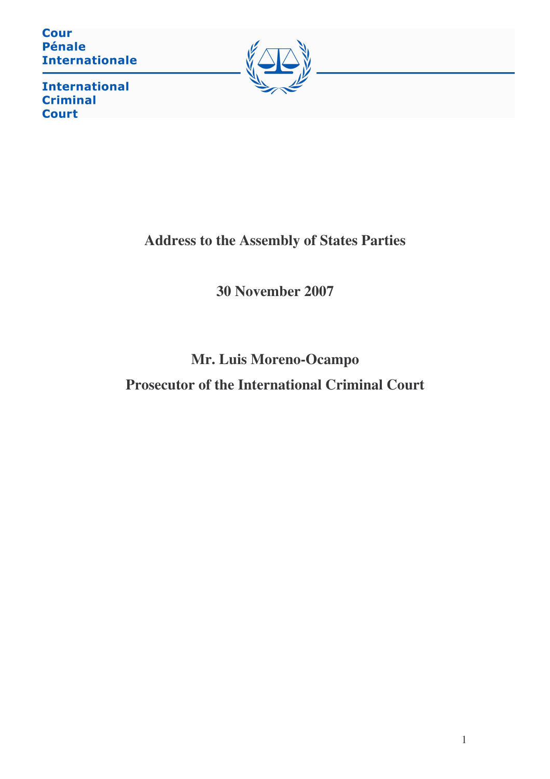**Cour Pénale Internationale** 



**International Criminal Court** 

**Address to the Assembly of States Parties**

**30 November 2007**

**Mr. Luis Moreno-Ocampo Prosecutor of the International Criminal Court**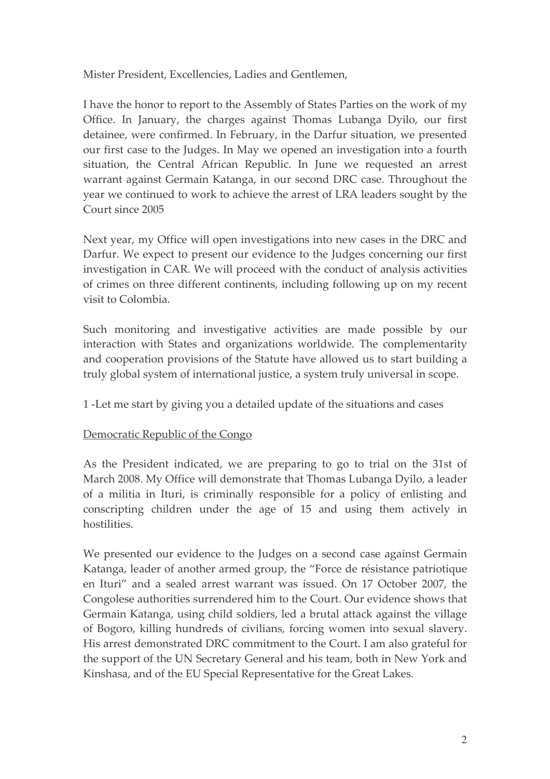Mister President, Excellencies, Ladies and Gentlemen,

I have the honor to report to the Assembly of States Parties on the work of my Office. In January, the charges against Thomas Lubanga Dyilo, our first detainee, were confirmed. In February, in the Darfur situation, we presented our first case to the Judges. In May we opened an investigation into a fourth situation, the Central African Republic. In June we requested an arrest warrant against Germain Katanga, in our second DRC case. Throughout the year we continued to work to achieve the arrest of LRA leaders sought by the Court since 2005

Next year, my Office will open investigations into new cases in the DRC and Darfur. We expect to present our evidence to the Judges concerning our first investigation in CAR. We will proceed with the conduct of analysis activities of crimes on three different continents, including following up on my recent visit to Colombia.

Such monitoring and investigative activities are made possible by our interaction with States and organizations worldwide. The complementarity and cooperation provisions of the Statute have allowed us to start building a truly global system of international justice, a system truly universal in scope.

1 -Let me start by giving you a detailed update of the situations and cases

## Democratic Republic of the Congo

As the President indicated, we are preparing to go to trial on the 31st of March 2008. My Office will demonstrate that Thomas Lubanga Dyilo, a leader of a militia in Ituri, is criminally responsible for a policy of enlisting and conscripting children under the age of 15 and using them actively in hostilities.

We presented our evidence to the Judges on a second case against Germain Katanga, leader of another armed group, the "Force de résistance patriotique en Ituri" and a sealed arrest warrant was issued. On 17 October 2007, the Congolese authorities surrendered him to the Court. Our evidence shows that Germain Katanga, using child soldiers, led a brutal attack against the village of Bogoro, killing hundreds of civilians, forcing women into sexual slavery. His arrest demonstrated DRC commitment to the Court. I am also grateful for the support of the UN Secretary General and his team, both in New York and Kinshasa, and of the EU Special Representative for the Great Lakes.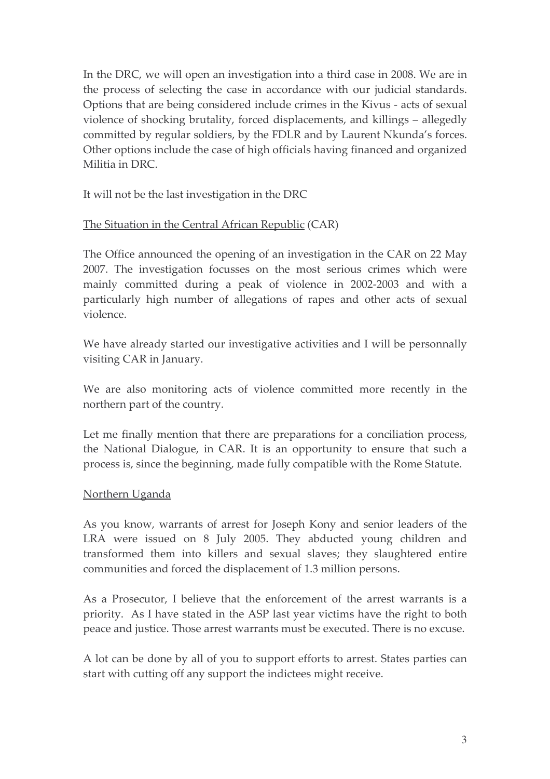In the DRC, we will open an investigation into a third case in 2008. We are in the process of selecting the case in accordance with our judicial standards. Options that are being considered include crimes in the Kivus - acts of sexual violence of shocking brutality, forced displacements, and killings – allegedly committed by regular soldiers, by the FDLR and by Laurent Nkunda's forces. Other options include the case of high officials having financed and organized Militia in DRC.

It will not be the last investigation in the DRC

## The Situation in the Central African Republic (CAR)

The Office announced the opening of an investigation in the CAR on 22 May 2007. The investigation focusses on the most serious crimes which were mainly committed during a peak of violence in 2002-2003 and with a particularly high number of allegations of rapes and other acts of sexual violence.

We have already started our investigative activities and I will be personnally visiting CAR in January.

We are also monitoring acts of violence committed more recently in the northern part of the country.

Let me finally mention that there are preparations for a conciliation process, the National Dialogue, in CAR. It is an opportunity to ensure that such a process is, since the beginning, made fully compatible with the Rome Statute.

## Northern Uganda

As you know, warrants of arrest for Joseph Kony and senior leaders of the LRA were issued on 8 July 2005. They abducted young children and transformed them into killers and sexual slaves; they slaughtered entire communities and forced the displacement of 1.3 million persons.

As a Prosecutor, I believe that the enforcement of the arrest warrants is a priority. As I have stated in the ASP last year victims have the right to both peace and justice. Those arrest warrants must be executed. There is no excuse.

A lot can be done by all of you to support efforts to arrest. States parties can start with cutting off any support the indictees might receive.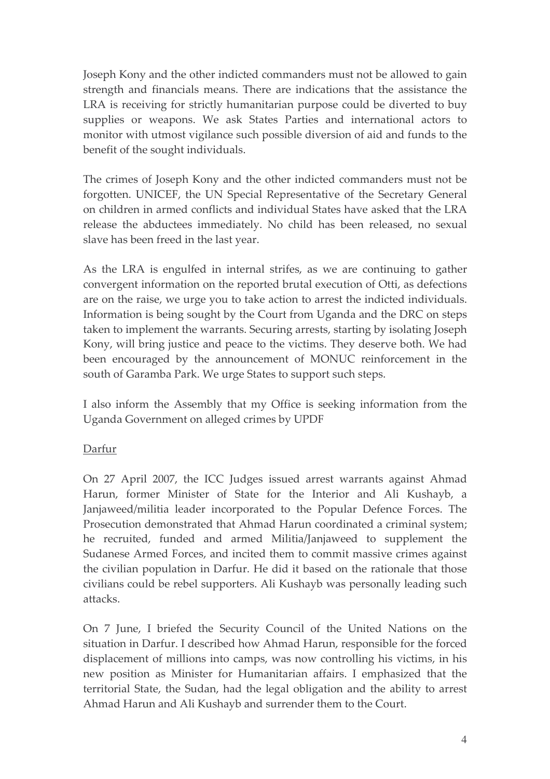Joseph Kony and the other indicted commanders must not be allowed to gain strength and financials means. There are indications that the assistance the LRA is receiving for strictly humanitarian purpose could be diverted to buy supplies or weapons. We ask States Parties and international actors to monitor with utmost vigilance such possible diversion of aid and funds to the benefit of the sought individuals.

The crimes of Joseph Kony and the other indicted commanders must not be forgotten. UNICEF, the UN Special Representative of the Secretary General on children in armed conflicts and individual States have asked that the LRA release the abductees immediately. No child has been released, no sexual slave has been freed in the last year.

As the LRA is engulfed in internal strifes, as we are continuing to gather convergent information on the reported brutal execution of Otti, as defections are on the raise, we urge you to take action to arrest the indicted individuals. Information is being sought by the Court from Uganda and the DRC on steps taken to implement the warrants. Securing arrests, starting by isolating Joseph Kony, will bring justice and peace to the victims. They deserve both. We had been encouraged by the announcement of MONUC reinforcement in the south of Garamba Park. We urge States to support such steps.

I also inform the Assembly that my Office is seeking information from the Uganda Government on alleged crimes by UPDF

## Darfur

On 27 April 2007, the ICC Judges issued arrest warrants against Ahmad Harun, former Minister of State for the Interior and Ali Kushayb, a Janjaweed/militia leader incorporated to the Popular Defence Forces. The Prosecution demonstrated that Ahmad Harun coordinated a criminal system; he recruited, funded and armed Militia/Janjaweed to supplement the Sudanese Armed Forces, and incited them to commit massive crimes against the civilian population in Darfur. He did it based on the rationale that those civilians could be rebel supporters. Ali Kushayb was personally leading such attacks.

On 7 June, I briefed the Security Council of the United Nations on the situation in Darfur. I described how Ahmad Harun, responsible for the forced displacement of millions into camps, was now controlling his victims, in his new position as Minister for Humanitarian affairs. I emphasized that the territorial State, the Sudan, had the legal obligation and the ability to arrest Ahmad Harun and Ali Kushayb and surrender them to the Court.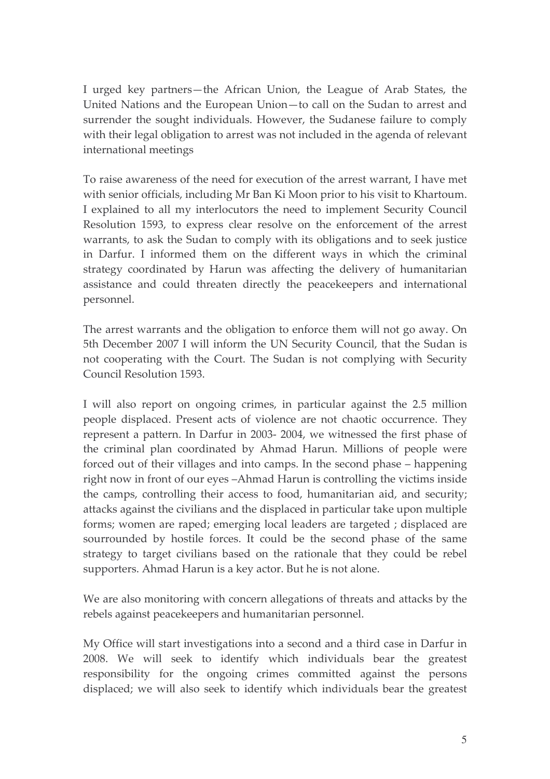I urged key partners—the African Union, the League of Arab States, the United Nations and the European Union-to call on the Sudan to arrest and surrender the sought individuals. However, the Sudanese failure to comply with their legal obligation to arrest was not included in the agenda of relevant international meetings

To raise awareness of the need for execution of the arrest warrant, I have met with senior officials, including Mr Ban Ki Moon prior to his visit to Khartoum. I explained to all my interlocutors the need to implement Security Council Resolution 1593, to express clear resolve on the enforcement of the arrest warrants, to ask the Sudan to comply with its obligations and to seek justice in Darfur. I informed them on the different ways in which the criminal strategy coordinated by Harun was affecting the delivery of humanitarian assistance and could threaten directly the peacekeepers and international personnel.

The arrest warrants and the obligation to enforce them will not go away. On 5th December 2007 I will inform the UN Security Council, that the Sudan is not cooperating with the Court. The Sudan is not complying with Security Council Resolution 1593.

I will also report on ongoing crimes, in particular against the 2.5 million people displaced. Present acts of violence are not chaotic occurrence. They represent a pattern. In Darfur in 2003-2004, we witnessed the first phase of the criminal plan coordinated by Ahmad Harun. Millions of people were forced out of their villages and into camps. In the second phase – happening right now in front of our eyes -Ahmad Harun is controlling the victims inside the camps, controlling their access to food, humanitarian aid, and security; attacks against the civilians and the displaced in particular take upon multiple forms; women are raped; emerging local leaders are targeted; displaced are sourrounded by hostile forces. It could be the second phase of the same strategy to target civilians based on the rationale that they could be rebel supporters. Ahmad Harun is a key actor. But he is not alone.

We are also monitoring with concern allegations of threats and attacks by the rebels against peacekeepers and humanitarian personnel.

My Office will start investigations into a second and a third case in Darfur in 2008. We will seek to identify which individuals bear the greatest responsibility for the ongoing crimes committed against the persons displaced; we will also seek to identify which individuals bear the greatest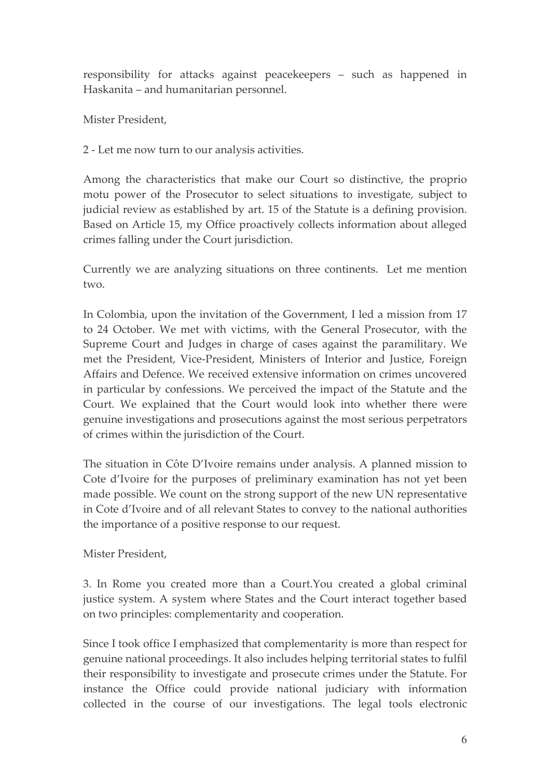responsibility for attacks against peacekeepers - such as happened in Haskanita – and humanitarian personnel.

Mister President,

2 - Let me now turn to our analysis activities.

Among the characteristics that make our Court so distinctive, the proprio motu power of the Prosecutor to select situations to investigate, subject to judicial review as established by art. 15 of the Statute is a defining provision. Based on Article 15, my Office proactively collects information about alleged crimes falling under the Court jurisdiction.

Currently we are analyzing situations on three continents. Let me mention two.

In Colombia, upon the invitation of the Government, I led a mission from 17 to 24 October. We met with victims, with the General Prosecutor, with the Supreme Court and Judges in charge of cases against the paramilitary. We met the President, Vice-President, Ministers of Interior and Justice, Foreign Affairs and Defence. We received extensive information on crimes uncovered in particular by confessions. We perceived the impact of the Statute and the Court. We explained that the Court would look into whether there were genuine investigations and prosecutions against the most serious perpetrators of crimes within the jurisdiction of the Court.

The situation in Côte D'Ivoire remains under analysis. A planned mission to Cote d'Ivoire for the purposes of preliminary examination has not yet been made possible. We count on the strong support of the new UN representative in Cote d'Ivoire and of all relevant States to convey to the national authorities the importance of a positive response to our request.

Mister President,

3. In Rome you created more than a Court.You created a global criminal justice system. A system where States and the Court interact together based on two principles: complementarity and cooperation.

Since I took office I emphasized that complementarity is more than respect for genuine national proceedings. It also includes helping territorial states to fulfil their responsibility to investigate and prosecute crimes under the Statute. For instance the Office could provide national judiciary with information collected in the course of our investigations. The legal tools electronic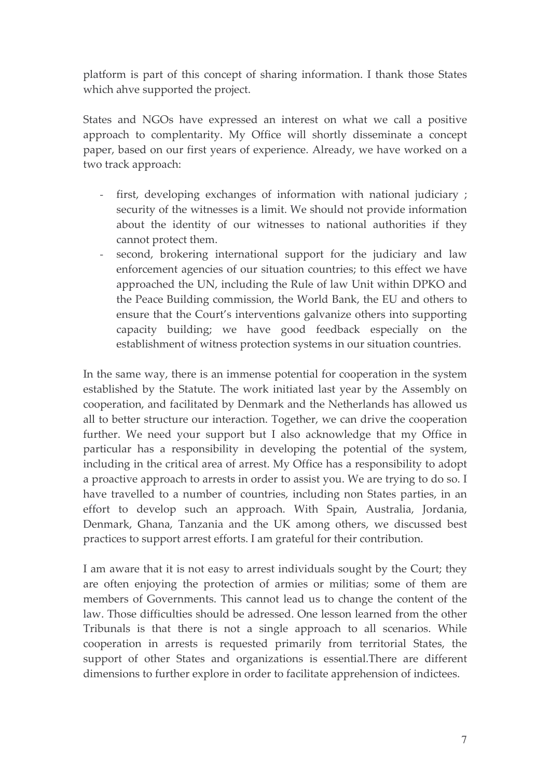platform is part of this concept of sharing information. I thank those States which ahve supported the project.

States and NGOs have expressed an interest on what we call a positive approach to complentarity. My Office will shortly disseminate a concept paper, based on our first years of experience. Already, we have worked on a two track approach:

- first, developing exchanges of information with national judiciary;  $\omega_{\rm{max}}$ security of the witnesses is a limit. We should not provide information about the identity of our witnesses to national authorities if they cannot protect them.
- second, brokering international support for the judiciary and law enforcement agencies of our situation countries; to this effect we have approached the UN, including the Rule of law Unit within DPKO and the Peace Building commission, the World Bank, the EU and others to ensure that the Court's interventions galvanize others into supporting capacity building; we have good feedback especially on the establishment of witness protection systems in our situation countries.

In the same way, there is an immense potential for cooperation in the system established by the Statute. The work initiated last year by the Assembly on cooperation, and facilitated by Denmark and the Netherlands has allowed us all to better structure our interaction. Together, we can drive the cooperation further. We need your support but I also acknowledge that my Office in particular has a responsibility in developing the potential of the system, including in the critical area of arrest. My Office has a responsibility to adopt a proactive approach to arrests in order to assist you. We are trying to do so. I have travelled to a number of countries, including non States parties, in an effort to develop such an approach. With Spain, Australia, Jordania, Denmark, Ghana, Tanzania and the UK among others, we discussed best practices to support arrest efforts. I am grateful for their contribution.

I am aware that it is not easy to arrest individuals sought by the Court; they are often enjoying the protection of armies or militias; some of them are members of Governments. This cannot lead us to change the content of the law. Those difficulties should be adressed. One lesson learned from the other Tribunals is that there is not a single approach to all scenarios. While cooperation in arrests is requested primarily from territorial States, the support of other States and organizations is essential. There are different dimensions to further explore in order to facilitate apprehension of indictees.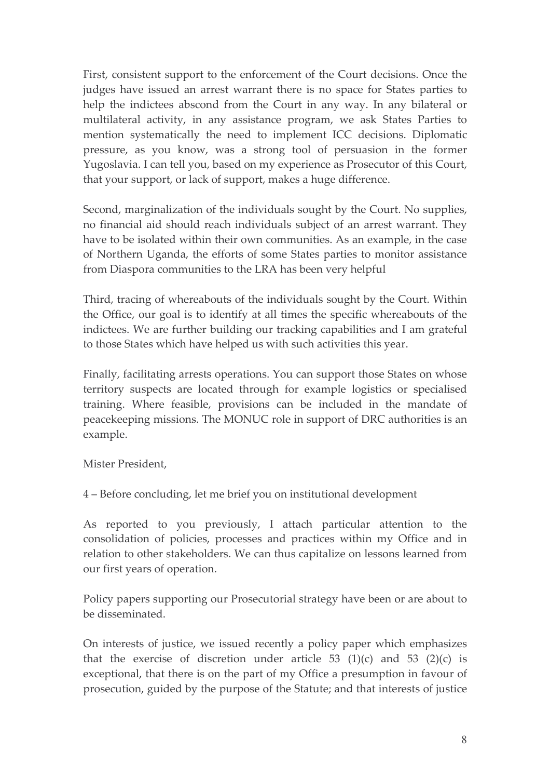First, consistent support to the enforcement of the Court decisions. Once the judges have issued an arrest warrant there is no space for States parties to help the indictees abscond from the Court in any way. In any bilateral or multilateral activity, in any assistance program, we ask States Parties to mention systematically the need to implement ICC decisions. Diplomatic pressure, as you know, was a strong tool of persuasion in the former Yugoslavia. I can tell you, based on my experience as Prosecutor of this Court, that your support, or lack of support, makes a huge difference.

Second, marginalization of the individuals sought by the Court. No supplies, no financial aid should reach individuals subject of an arrest warrant. They have to be isolated within their own communities. As an example, in the case of Northern Uganda, the efforts of some States parties to monitor assistance from Diaspora communities to the LRA has been very helpful

Third, tracing of whereabouts of the individuals sought by the Court. Within the Office, our goal is to identify at all times the specific whereabouts of the indictees. We are further building our tracking capabilities and I am grateful to those States which have helped us with such activities this year.

Finally, facilitating arrests operations. You can support those States on whose territory suspects are located through for example logistics or specialised training. Where feasible, provisions can be included in the mandate of peacekeeping missions. The MONUC role in support of DRC authorities is an example.

Mister President.

4 – Before concluding, let me brief you on institutional development

As reported to you previously, I attach particular attention to the consolidation of policies, processes and practices within my Office and in relation to other stakeholders. We can thus capitalize on lessons learned from our first years of operation.

Policy papers supporting our Prosecutorial strategy have been or are about to be disseminated

On interests of justice, we issued recently a policy paper which emphasizes that the exercise of discretion under article 53  $(1)(c)$  and 53  $(2)(c)$  is exceptional, that there is on the part of my Office a presumption in favour of prosecution, guided by the purpose of the Statute; and that interests of justice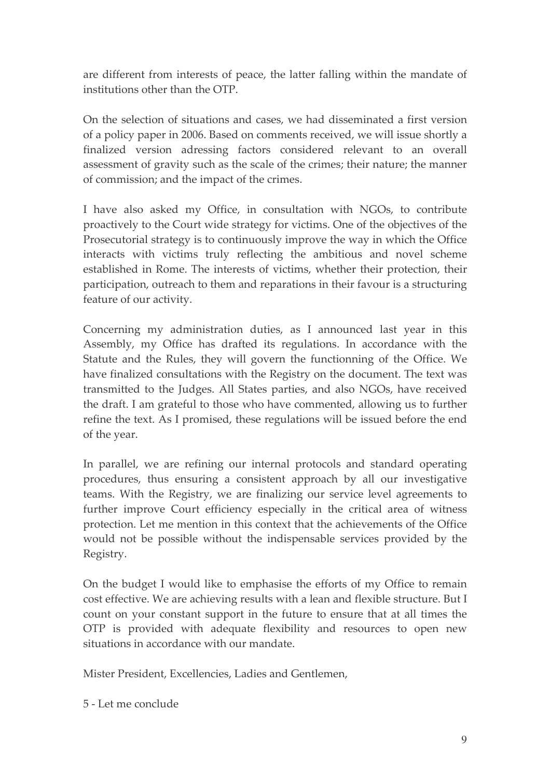are different from interests of peace, the latter falling within the mandate of institutions other than the OTP.

On the selection of situations and cases, we had disseminated a first version of a policy paper in 2006. Based on comments received, we will issue shortly a finalized version adressing factors considered relevant to an overall assessment of gravity such as the scale of the crimes; their nature; the manner of commission; and the impact of the crimes.

I have also asked my Office, in consultation with NGOs, to contribute proactively to the Court wide strategy for victims. One of the objectives of the Prosecutorial strategy is to continuously improve the way in which the Office interacts with victims truly reflecting the ambitious and novel scheme established in Rome. The interests of victims, whether their protection, their participation, outreach to them and reparations in their favour is a structuring feature of our activity.

Concerning my administration duties, as I announced last year in this Assembly, my Office has drafted its regulations. In accordance with the Statute and the Rules, they will govern the functionning of the Office. We have finalized consultations with the Registry on the document. The text was transmitted to the Judges. All States parties, and also NGOs, have received the draft. I am grateful to those who have commented, allowing us to further refine the text. As I promised, these regulations will be issued before the end of the year.

In parallel, we are refining our internal protocols and standard operating procedures, thus ensuring a consistent approach by all our investigative teams. With the Registry, we are finalizing our service level agreements to further improve Court efficiency especially in the critical area of witness protection. Let me mention in this context that the achievements of the Office would not be possible without the indispensable services provided by the Registry.

On the budget I would like to emphasise the efforts of my Office to remain cost effective. We are achieving results with a lean and flexible structure. But I count on your constant support in the future to ensure that at all times the OTP is provided with adequate flexibility and resources to open new situations in accordance with our mandate.

Mister President, Excellencies, Ladies and Gentlemen,

5 - Let me conclude